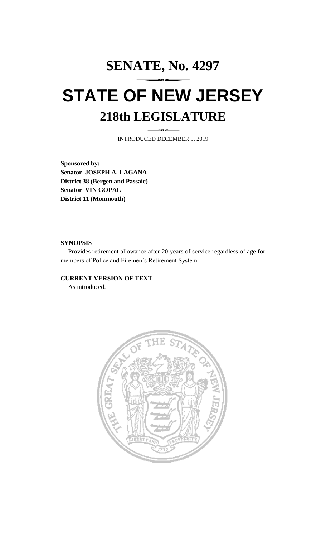## **SENATE, No. 4297 STATE OF NEW JERSEY 218th LEGISLATURE**

INTRODUCED DECEMBER 9, 2019

**Sponsored by: Senator JOSEPH A. LAGANA District 38 (Bergen and Passaic) Senator VIN GOPAL District 11 (Monmouth)**

## **SYNOPSIS**

Provides retirement allowance after 20 years of service regardless of age for members of Police and Firemen's Retirement System.

## **CURRENT VERSION OF TEXT**

As introduced.

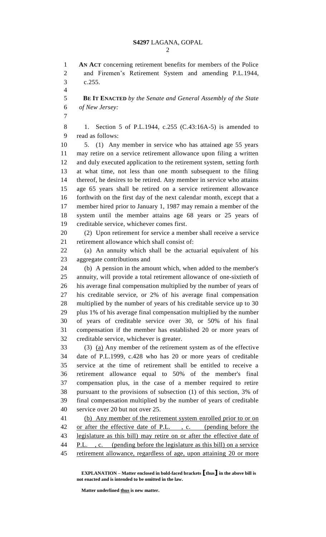**AN ACT** concerning retirement benefits for members of the Police and Firemen's Retirement System and amending P.L.1944, c.255.

 **BE IT ENACTED** *by the Senate and General Assembly of the State of New Jersey:*

 1. Section 5 of P.L.1944, c.255 (C.43:16A-5) is amended to read as follows:

 5. (1) Any member in service who has attained age 55 years may retire on a service retirement allowance upon filing a written and duly executed application to the retirement system, setting forth at what time, not less than one month subsequent to the filing thereof, he desires to be retired. Any member in service who attains age 65 years shall be retired on a service retirement allowance forthwith on the first day of the next calendar month, except that a member hired prior to January 1, 1987 may remain a member of the system until the member attains age 68 years or 25 years of creditable service, whichever comes first.

 (2) Upon retirement for service a member shall receive a service retirement allowance which shall consist of:

 (a) An annuity which shall be the actuarial equivalent of his aggregate contributions and

 (b) A pension in the amount which, when added to the member's annuity, will provide a total retirement allowance of one-sixtieth of his average final compensation multiplied by the number of years of his creditable service, or 2% of his average final compensation multiplied by the number of years of his creditable service up to 30 plus 1% of his average final compensation multiplied by the number of years of creditable service over 30, or 50% of his final compensation if the member has established 20 or more years of creditable service, whichever is greater.

 (3) (a) Any member of the retirement system as of the effective date of P.L.1999, c.428 who has 20 or more years of creditable service at the time of retirement shall be entitled to receive a retirement allowance equal to 50% of the member's final compensation plus, in the case of a member required to retire pursuant to the provisions of subsection (1) of this section, 3% of final compensation multiplied by the number of years of creditable service over 20 but not over 25.

 (b) Any member of the retirement system enrolled prior to or on 42 or after the effective date of P.L., c. (pending before the legislature as this bill) may retire on or after the effective date of 44 P.L., c. (pending before the legislature as this bill) on a service retirement allowance, regardless of age, upon attaining 20 or more

**EXPLANATION – Matter enclosed in bold-faced brackets [thus] in the above bill is not enacted and is intended to be omitted in the law.**

**Matter underlined thus is new matter.**